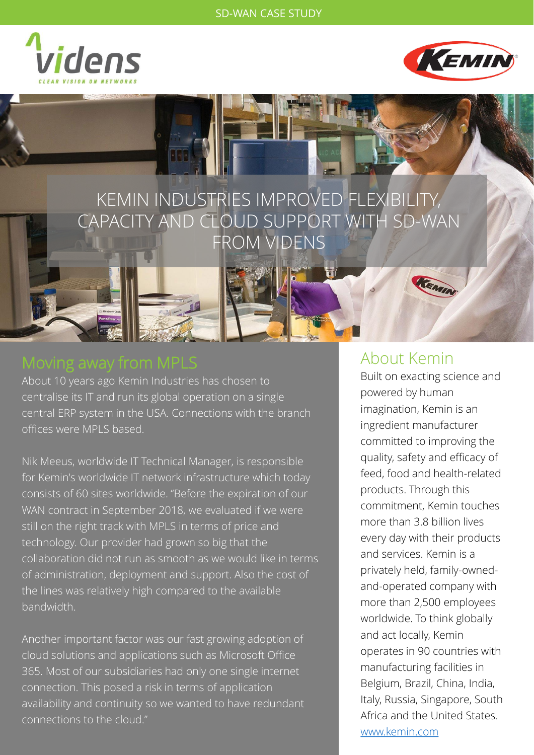



# KEMIN INDUSTRIES IMPROVED FLEXIBILITY, CAPACITY AND CLOUD SUPPORT WITH SD-WAN FROM VIDENS

About 10 years ago Kemin Industries has chosen to centralise its IT and run its global operation on a single central ERP system in the USA. Connections with the branch offices were MPLS based.

Nik Meeus, worldwide IT Technical Manager, is responsible for Kemin's worldwide IT network infrastructure which today consists of 60 sites worldwide. "Before the expiration of our WAN contract in September 2018, we evaluated if we were still on the right track with MPLS in terms of price and technology. Our provider had grown so big that the collaboration did not run as smooth as we would like in terms of administration, deployment and support. Also the cost of the lines was relatively high compared to the available bandwidth.

Another important factor was our fast growing adoption of cloud solutions and applications such as Microsoft Office 365. Most of our subsidiaries had only one single internet connection. This posed a risk in terms of application availability and continuity so we wanted to have redundant connections to the cloud."

## About Kemin

Built on exacting science and powered by human imagination, Kemin is an ingredient manufacturer committed to improving the quality, safety and efficacy of feed, food and health-related products. Through this commitment, Kemin touches more than 3.8 billion lives every day with their products and services. Kemin is a privately held, family-ownedand-operated company with more than 2,500 employees worldwide. To think globally and act locally, Kemin operates in 90 countries with manufacturing facilities in Belgium, Brazil, China, India, Italy, Russia, Singapore, South Africa and the United States. [www.kemin.com](http://www.kemin.com/)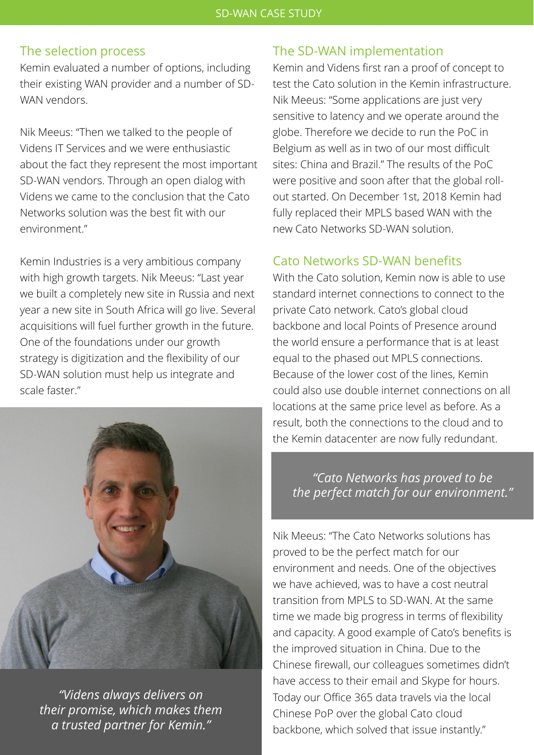#### The selection process

Kemin evaluated a number of options, including their existing WAN provider and a number of SD-WAN vendors.

Nik Meeus: "Then we talked to the people of Videns IT Services and we were enthusiastic about the fact they represent the most important SD-WAN vendors. Through an open dialog with Videns we came to the conclusion that the Cato Networks solution was the best fit with our environment."

Kemin Industries is a very ambitious company with high growth targets. Nik Meeus: "Last year we built a completely new site in Russia and next year a new site in South Africa will go live. Several acquisitions will fuel further growth in the future. One of the foundations under our growth strategy is digitization and the flexibility of our SD-WAN solution must help us integrate and scale faster."



*"Videns always delivers on their promise, which makes them a trusted partner for Kemin."*

#### The SD-WAN implementation

Kemin and Videns first ran a proof of concept to test the Cato solution in the Kemin infrastructure. Nik Meeus: "Some applications are just very sensitive to latency and we operate around the globe. Therefore we decide to run the PoC in Belgium as well as in two of our most difficult sites: China and Brazil." The results of the PoC were positive and soon after that the global rollout started. On December 1st, 2018 Kemin had fully replaced their MPLS based WAN with the new Cato Networks SD-WAN solution.

#### Cato Networks SD-WAN benefits

With the Cato solution, Kemin now is able to use standard internet connections to connect to the private Cato network. Cato's global cloud backbone and local Points of Presence around the world ensure a performance that is at least equal to the phased out MPLS connections. Because of the lower cost of the lines, Kemin could also use double internet connections on all locations at the same price level as before. As a result, both the connections to the cloud and to the Kemin datacenter are now fully redundant.

*"Cato Networks has proved to be the perfect match for our environment."*

Nik Meeus: "The Cato Networks solutions has proved to be the perfect match for our environment and needs. One of the objectives we have achieved, was to have a cost neutral transition from MPLS to SD-WAN. At the same time we made big progress in terms of flexibility and capacity. A good example of Cato's benefits is the improved situation in China. Due to the Chinese firewall, our colleagues sometimes didn't have access to their email and Skype for hours. Today our Office 365 data travels via the local Chinese PoP over the global Cato cloud backbone, which solved that issue instantly."